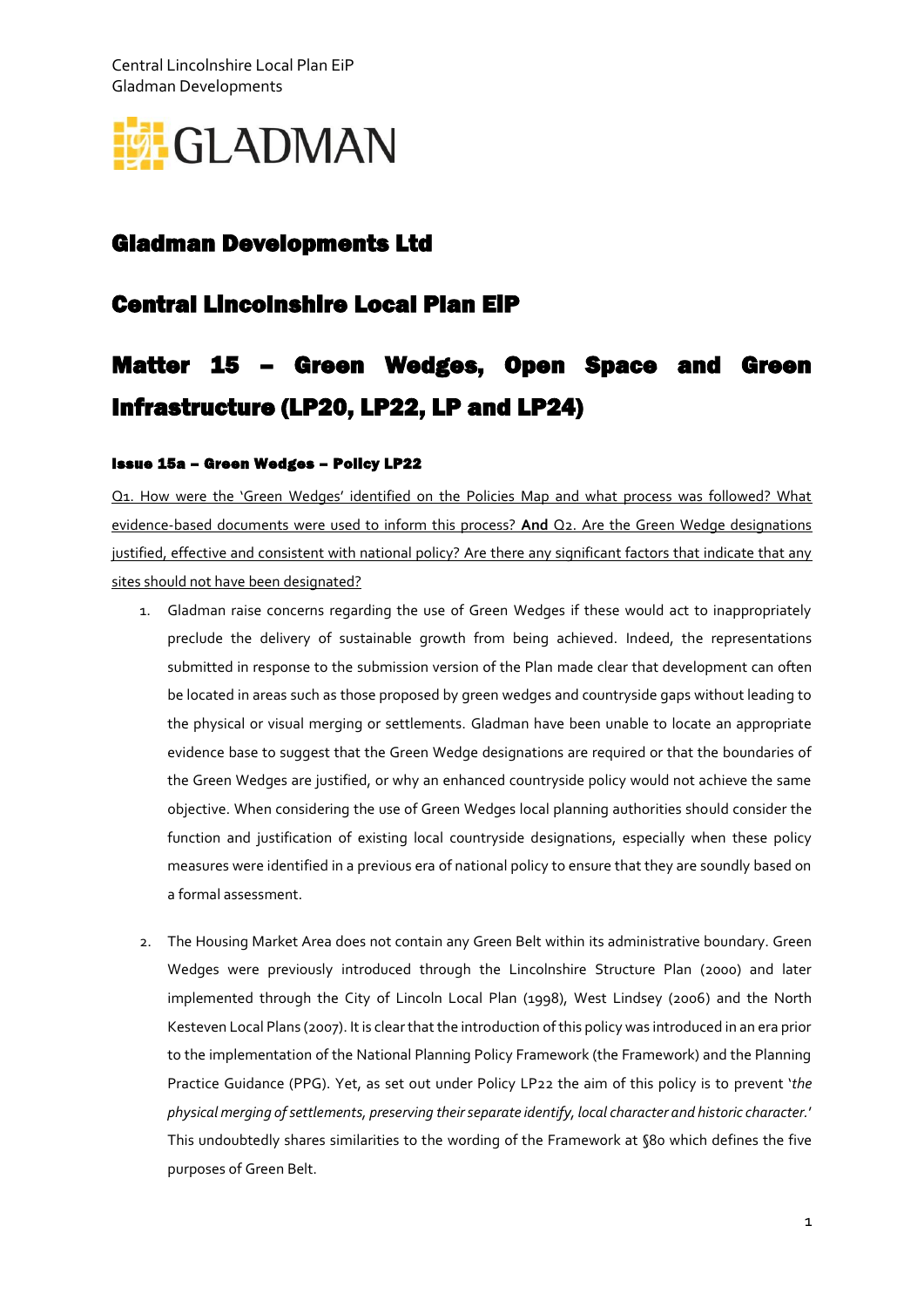Central Lincolnshire Local Plan EiP Gladman Developments



## Gladman Developments Ltd

## Central Lincolnshire Local Plan EiP

# Matter 15 – Green Wedges, Open Space and Green Infrastructure (LP20, LP22, LP and LP24)

### Issue 15a – Green Wedges – Policy LP22

Q1. How were the 'Green Wedges' identified on the Policies Map and what process was followed? What evidence-based documents were used to inform this process? **And** Q2. Are the Green Wedge designations justified, effective and consistent with national policy? Are there any significant factors that indicate that any sites should not have been designated?

- 1. Gladman raise concerns regarding the use of Green Wedges if these would act to inappropriately preclude the delivery of sustainable growth from being achieved. Indeed, the representations submitted in response to the submission version of the Plan made clear that development can often be located in areas such as those proposed by green wedges and countryside gaps without leading to the physical or visual merging or settlements. Gladman have been unable to locate an appropriate evidence base to suggest that the Green Wedge designations are required or that the boundaries of the Green Wedges are justified, or why an enhanced countryside policy would not achieve the same objective. When considering the use of Green Wedges local planning authorities should consider the function and justification of existing local countryside designations, especially when these policy measures were identified in a previous era of national policy to ensure that they are soundly based on a formal assessment.
- 2. The Housing Market Area does not contain any Green Belt within its administrative boundary. Green Wedges were previously introduced through the Lincolnshire Structure Plan (2000) and later implemented through the City of Lincoln Local Plan (1998), West Lindsey (2006) and the North Kesteven Local Plans (2007). It is clear that the introduction of this policy was introduced in an era prior to the implementation of the National Planning Policy Framework (the Framework) and the Planning Practice Guidance (PPG). Yet, as set out under Policy LP22 the aim of this policy is to prevent '*the physical merging ofsettlements, preserving their separate identify, local character and historic character.*' This undoubtedly shares similarities to the wording of the Framework at §80 which defines the five purposes of Green Belt.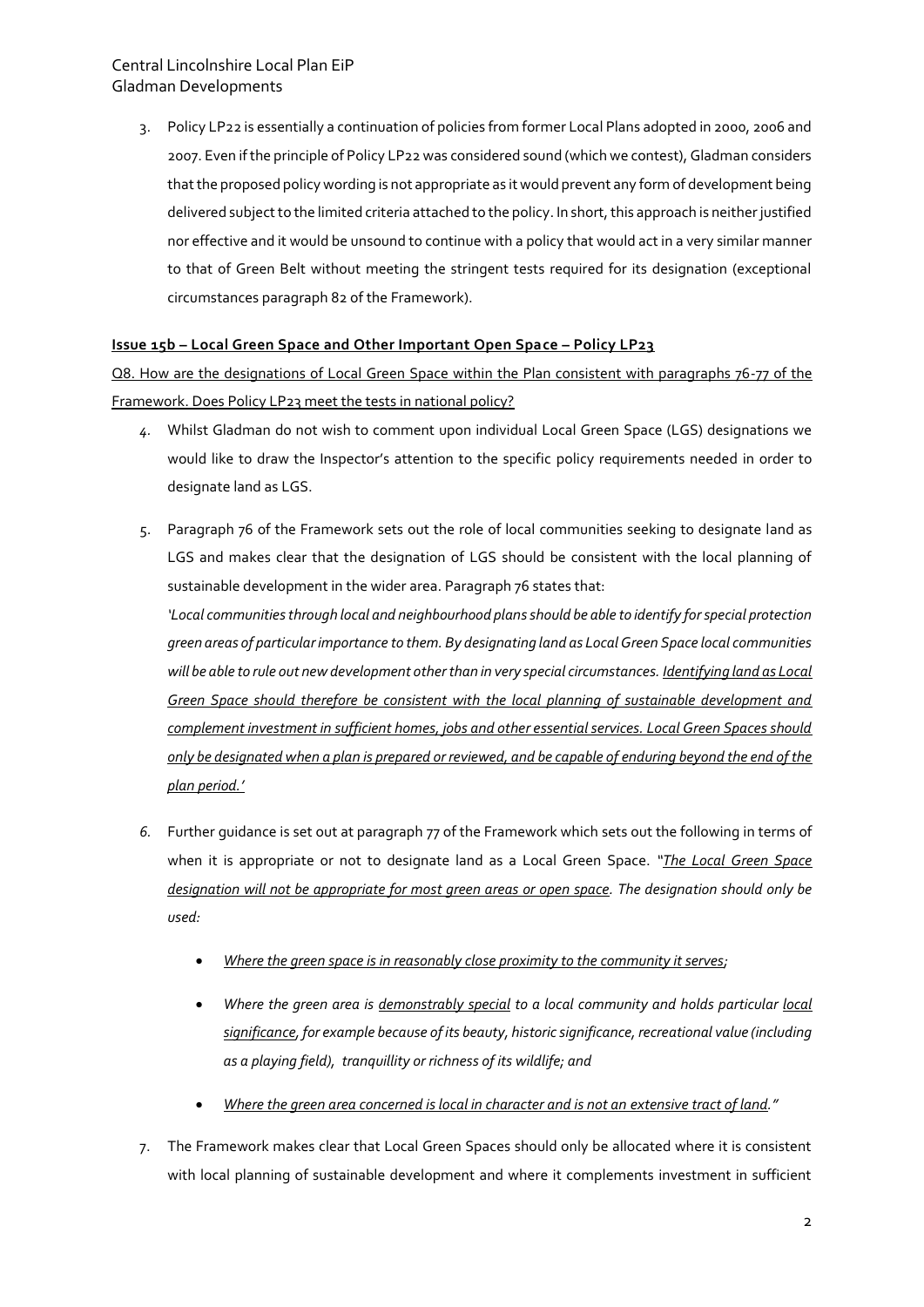3. Policy LP22 is essentially a continuation of policies from former Local Plans adopted in 2000, 2006 and 2007. Even if the principle of Policy LP22 was considered sound (which we contest), Gladman considers that the proposed policy wording is not appropriate as it would prevent any form of development being delivered subject to the limited criteria attached to the policy. In short, this approach is neither justified nor effective and it would be unsound to continue with a policy that would act in a very similar manner to that of Green Belt without meeting the stringent tests required for its designation (exceptional circumstances paragraph 82 of the Framework).

### **Issue 15b – Local Green Space and Other Important Open Space – Policy LP23**

Q8. How are the designations of Local Green Space within the Plan consistent with paragraphs 76-77 of the Framework. Does Policy LP23 meet the tests in national policy?

- *4.* Whilst Gladman do not wish to comment upon individual Local Green Space (LGS) designations we would like to draw the Inspector's attention to the specific policy requirements needed in order to designate land as LGS.
- 5. Paragraph 76 of the Framework sets out the role of local communities seeking to designate land as LGS and makes clear that the designation of LGS should be consistent with the local planning of sustainable development in the wider area. Paragraph 76 states that:

*'Local communities through local and neighbourhood plans should be able to identify for special protection green areas of particular importance to them. By designating land as Local Green Space local communities will be able to rule out new development other than in very special circumstances. Identifying land as Local Green Space should therefore be consistent with the local planning of sustainable development and complement investment in sufficient homes, jobs and other essential services. Local Green Spaces should only be designated when a plan is prepared or reviewed, and be capable of enduring beyond the end of the plan period.'*

- *6.* Further guidance is set out at paragraph 77 of the Framework which sets out the following in terms of when it is appropriate or not to designate land as a Local Green Space. *"The Local Green Space designation will not be appropriate for most green areas or open space. The designation should only be used:*
	- *Where the green space is in reasonably close proximity to the community it serves;*
	- *Where the green area is demonstrably special to a local community and holds particular local significance, for example because of its beauty, historic significance, recreational value (including as a playing field), tranquillity or richness of its wildlife; and*
	- *Where the green area concerned is local in character and is not an extensive tract of land."*
- 7. The Framework makes clear that Local Green Spaces should only be allocated where it is consistent with local planning of sustainable development and where it complements investment in sufficient